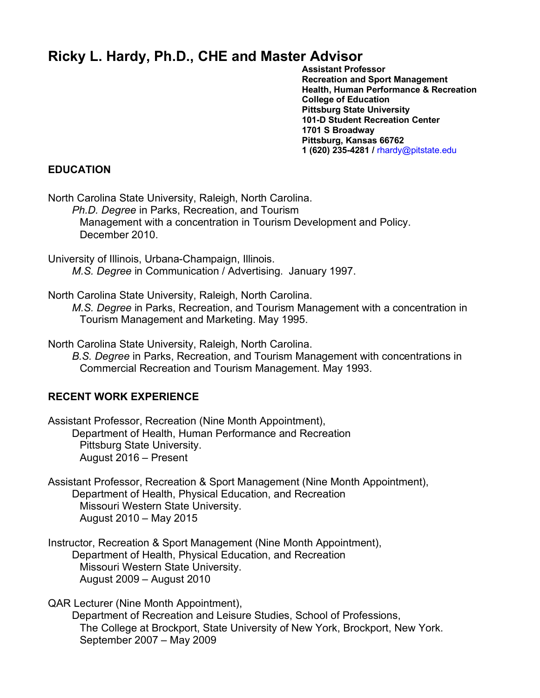# **Ricky L. Hardy, Ph.D., CHE and Master Advisor**

**Assistant Professor Recreation and Sport Management Health, Human Performance & Recreation College of Education Pittsburg State University 101-D Student Recreation Center 1701 S Broadway Pittsburg, Kansas 66762 1 (620) 235-4281 /** rhardy@pitstate.edu

#### **EDUCATION**

North Carolina State University, Raleigh, North Carolina.

*Ph.D. Degree* in Parks, Recreation, and Tourism Management with a concentration in Tourism Development and Policy. December 2010.

University of Illinois, Urbana-Champaign, Illinois. *M.S. Degree* in Communication / Advertising. January 1997.

North Carolina State University, Raleigh, North Carolina.

*M.S. Degree* in Parks, Recreation, and Tourism Management with a concentration in Tourism Management and Marketing. May 1995.

North Carolina State University, Raleigh, North Carolina.

*B.S. Degree* in Parks, Recreation, and Tourism Management with concentrations in Commercial Recreation and Tourism Management. May 1993.

#### **RECENT WORK EXPERIENCE**

Assistant Professor, Recreation (Nine Month Appointment), Department of Health, Human Performance and Recreation Pittsburg State University. August 2016 – Present

Assistant Professor, Recreation & Sport Management (Nine Month Appointment), Department of Health, Physical Education, and Recreation Missouri Western State University. August 2010 – May 2015

Instructor, Recreation & Sport Management (Nine Month Appointment), Department of Health, Physical Education, and Recreation Missouri Western State University. August 2009 – August 2010

QAR Lecturer (Nine Month Appointment),

Department of Recreation and Leisure Studies, School of Professions, The College at Brockport, State University of New York, Brockport, New York. September 2007 – May 2009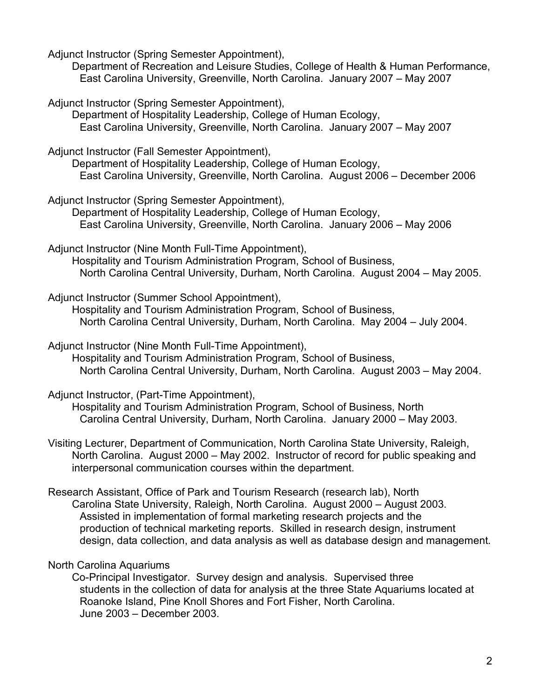Adjunct Instructor (Spring Semester Appointment),

Department of Recreation and Leisure Studies, College of Health & Human Performance, East Carolina University, Greenville, North Carolina. January 2007 – May 2007

Adjunct Instructor (Spring Semester Appointment),

Department of Hospitality Leadership, College of Human Ecology, East Carolina University, Greenville, North Carolina. January 2007 – May 2007

Adjunct Instructor (Fall Semester Appointment),

Department of Hospitality Leadership, College of Human Ecology, East Carolina University, Greenville, North Carolina. August 2006 – December 2006

Adjunct Instructor (Spring Semester Appointment),

Department of Hospitality Leadership, College of Human Ecology, East Carolina University, Greenville, North Carolina. January 2006 – May 2006

Adjunct Instructor (Nine Month Full-Time Appointment), Hospitality and Tourism Administration Program, School of Business,

North Carolina Central University, Durham, North Carolina. August 2004 – May 2005.

Adjunct Instructor (Summer School Appointment),

Hospitality and Tourism Administration Program, School of Business, North Carolina Central University, Durham, North Carolina. May 2004 – July 2004.

Adjunct Instructor (Nine Month Full-Time Appointment), Hospitality and Tourism Administration Program, School of Business, North Carolina Central University, Durham, North Carolina. August 2003 – May 2004.

Adjunct Instructor, (Part-Time Appointment),

Hospitality and Tourism Administration Program, School of Business, North Carolina Central University, Durham, North Carolina. January 2000 – May 2003.

Visiting Lecturer, Department of Communication, North Carolina State University, Raleigh, North Carolina. August 2000 – May 2002. Instructor of record for public speaking and interpersonal communication courses within the department.

Research Assistant, Office of Park and Tourism Research (research lab), North Carolina State University, Raleigh, North Carolina. August 2000 – August 2003. Assisted in implementation of formal marketing research projects and the production of technical marketing reports. Skilled in research design, instrument design, data collection, and data analysis as well as database design and management.

North Carolina Aquariums

Co-Principal Investigator. Survey design and analysis. Supervised three students in the collection of data for analysis at the three State Aquariums located at Roanoke Island, Pine Knoll Shores and Fort Fisher, North Carolina. June 2003 – December 2003.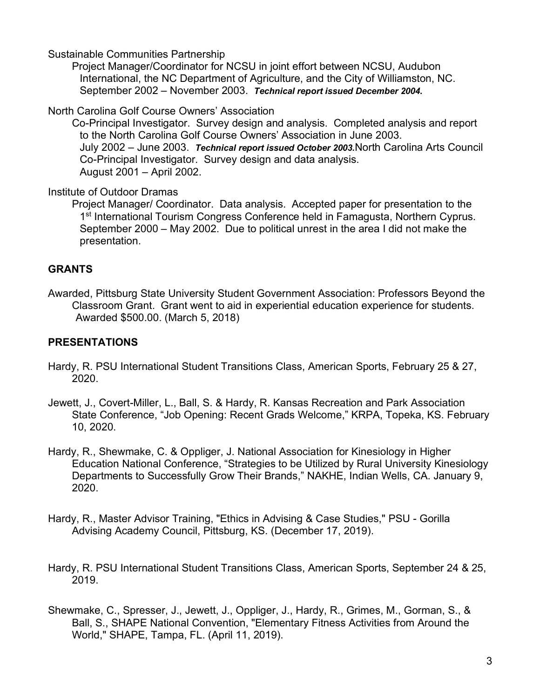Sustainable Communities Partnership

Project Manager/Coordinator for NCSU in joint effort between NCSU, Audubon International, the NC Department of Agriculture, and the City of Williamston, NC. September 2002 – November 2003. *Technical report issued December 2004.*

North Carolina Golf Course Owners' Association

Co-Principal Investigator. Survey design and analysis. Completed analysis and report to the North Carolina Golf Course Owners' Association in June 2003. July 2002 – June 2003. *Technical report issued October 2003.*North Carolina Arts Council Co-Principal Investigator. Survey design and data analysis. August 2001 – April 2002.

Institute of Outdoor Dramas

Project Manager/ Coordinator. Data analysis. Accepted paper for presentation to the 1<sup>st</sup> International Tourism Congress Conference held in Famagusta, Northern Cyprus. September 2000 – May 2002. Due to political unrest in the area I did not make the presentation.

# **GRANTS**

Awarded, Pittsburg State University Student Government Association: Professors Beyond the Classroom Grant. Grant went to aid in experiential education experience for students. Awarded \$500.00. (March 5, 2018)

# **PRESENTATIONS**

- Hardy, R. PSU International Student Transitions Class, American Sports, February 25 & 27, 2020.
- Jewett, J., Covert-Miller, L., Ball, S. & Hardy, R. Kansas Recreation and Park Association State Conference, "Job Opening: Recent Grads Welcome," KRPA, Topeka, KS. February 10, 2020.
- Hardy, R., Shewmake, C. & Oppliger, J. National Association for Kinesiology in Higher Education National Conference, "Strategies to be Utilized by Rural University Kinesiology Departments to Successfully Grow Their Brands," NAKHE, Indian Wells, CA. January 9, 2020.
- Hardy, R., Master Advisor Training, "Ethics in Advising & Case Studies," PSU Gorilla Advising Academy Council, Pittsburg, KS. (December 17, 2019).
- Hardy, R. PSU International Student Transitions Class, American Sports, September 24 & 25, 2019.
- Shewmake, C., Spresser, J., Jewett, J., Oppliger, J., Hardy, R., Grimes, M., Gorman, S., & Ball, S., SHAPE National Convention, "Elementary Fitness Activities from Around the World," SHAPE, Tampa, FL. (April 11, 2019).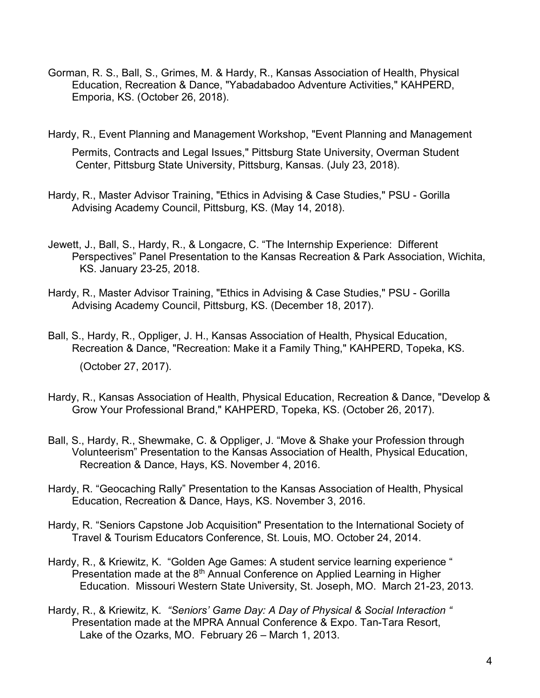- Gorman, R. S., Ball, S., Grimes, M. & Hardy, R., Kansas Association of Health, Physical Education, Recreation & Dance, "Yabadabadoo Adventure Activities," KAHPERD, Emporia, KS. (October 26, 2018).
- Hardy, R., Event Planning and Management Workshop, "Event Planning and Management

Permits, Contracts and Legal Issues," Pittsburg State University, Overman Student Center, Pittsburg State University, Pittsburg, Kansas. (July 23, 2018).

- Hardy, R., Master Advisor Training, "Ethics in Advising & Case Studies," PSU Gorilla Advising Academy Council, Pittsburg, KS. (May 14, 2018).
- Jewett, J., Ball, S., Hardy, R., & Longacre, C. "The Internship Experience: Different Perspectives" Panel Presentation to the Kansas Recreation & Park Association, Wichita, KS. January 23-25, 2018.
- Hardy, R., Master Advisor Training, "Ethics in Advising & Case Studies," PSU Gorilla Advising Academy Council, Pittsburg, KS. (December 18, 2017).
- Ball, S., Hardy, R., Oppliger, J. H., Kansas Association of Health, Physical Education, Recreation & Dance, "Recreation: Make it a Family Thing," KAHPERD, Topeka, KS. (October 27, 2017).
- Hardy, R., Kansas Association of Health, Physical Education, Recreation & Dance, "Develop & Grow Your Professional Brand," KAHPERD, Topeka, KS. (October 26, 2017).
- Ball, S., Hardy, R., Shewmake, C. & Oppliger, J. "Move & Shake your Profession through Volunteerism" Presentation to the Kansas Association of Health, Physical Education, Recreation & Dance, Hays, KS. November 4, 2016.
- Hardy, R. "Geocaching Rally" Presentation to the Kansas Association of Health, Physical Education, Recreation & Dance, Hays, KS. November 3, 2016.
- Hardy, R. "Seniors Capstone Job Acquisition" Presentation to the International Society of Travel & Tourism Educators Conference, St. Louis, MO. October 24, 2014.
- Hardy, R., & Kriewitz, K. "Golden Age Games: A student service learning experience " Presentation made at the 8<sup>th</sup> Annual Conference on Applied Learning in Higher Education. Missouri Western State University, St. Joseph, MO. March 21-23, 2013.
- Hardy, R., & Kriewitz, K*. "Seniors' Game Day: A Day of Physical & Social Interaction "* Presentation made at the MPRA Annual Conference & Expo. Tan-Tara Resort, Lake of the Ozarks, MO. February 26 – March 1, 2013.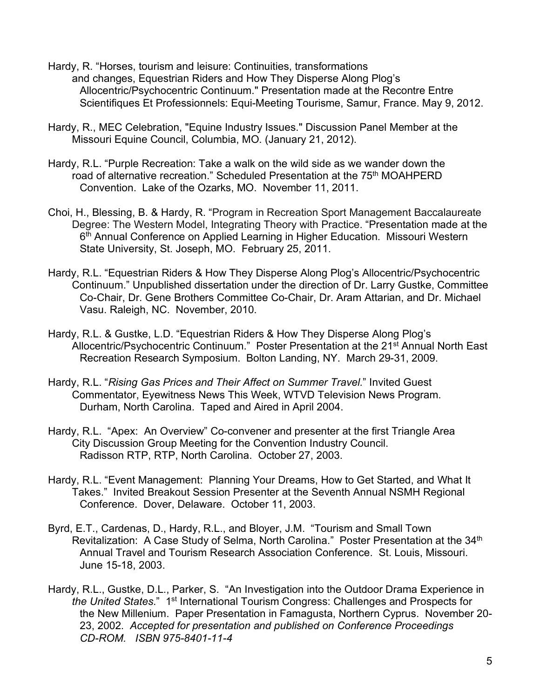- Hardy, R. "Horses, tourism and leisure: Continuities, transformations and changes, Equestrian Riders and How They Disperse Along Plog's Allocentric/Psychocentric Continuum." Presentation made at the Recontre Entre Scientifiques Et Professionnels: Equi-Meeting Tourisme, Samur, France. May 9, 2012.
- Hardy, R., MEC Celebration, "Equine Industry Issues." Discussion Panel Member at the Missouri Equine Council, Columbia, MO. (January 21, 2012).
- Hardy, R.L. "Purple Recreation: Take a walk on the wild side as we wander down the road of alternative recreation." Scheduled Presentation at the 75<sup>th</sup> MOAHPERD Convention. Lake of the Ozarks, MO. November 11, 2011.
- Choi, H., Blessing, B. & Hardy, R. "Program in Recreation Sport Management Baccalaureate Degree: The Western Model, Integrating Theory with Practice. "Presentation made at the 6<sup>th</sup> Annual Conference on Applied Learning in Higher Education. Missouri Western State University, St. Joseph, MO. February 25, 2011.
- Hardy, R.L. "Equestrian Riders & How They Disperse Along Plog's Allocentric/Psychocentric Continuum." Unpublished dissertation under the direction of Dr. Larry Gustke, Committee Co-Chair, Dr. Gene Brothers Committee Co-Chair, Dr. Aram Attarian, and Dr. Michael Vasu. Raleigh, NC. November, 2010.
- Hardy, R.L. & Gustke, L.D. "Equestrian Riders & How They Disperse Along Plog's Allocentric/Psychocentric Continuum." Poster Presentation at the 21<sup>st</sup> Annual North East Recreation Research Symposium. Bolton Landing, NY. March 29-31, 2009.
- Hardy, R.L. "*Rising Gas Prices and Their Affect on Summer Travel.*" Invited Guest Commentator, Eyewitness News This Week, WTVD Television News Program. Durham, North Carolina. Taped and Aired in April 2004.
- Hardy, R.L. "Apex: An Overview" Co-convener and presenter at the first Triangle Area City Discussion Group Meeting for the Convention Industry Council. Radisson RTP, RTP, North Carolina. October 27, 2003.
- Hardy, R.L. "Event Management: Planning Your Dreams, How to Get Started, and What It Takes." Invited Breakout Session Presenter at the Seventh Annual NSMH Regional Conference. Dover, Delaware. October 11, 2003.
- Byrd, E.T., Cardenas, D., Hardy, R.L., and Bloyer, J.M. "Tourism and Small Town Revitalization: A Case Study of Selma, North Carolina." Poster Presentation at the 34<sup>th</sup> Annual Travel and Tourism Research Association Conference. St. Louis, Missouri. June 15-18, 2003.
- Hardy, R.L., Gustke, D.L., Parker, S. "An Investigation into the Outdoor Drama Experience in *the United States*." 1st International Tourism Congress: Challenges and Prospects for the New Millenium. Paper Presentation in Famagusta, Northern Cyprus. November 20- 23, 2002. *Accepted for presentation and published on Conference Proceedings CD-ROM. ISBN 975-8401-11-4*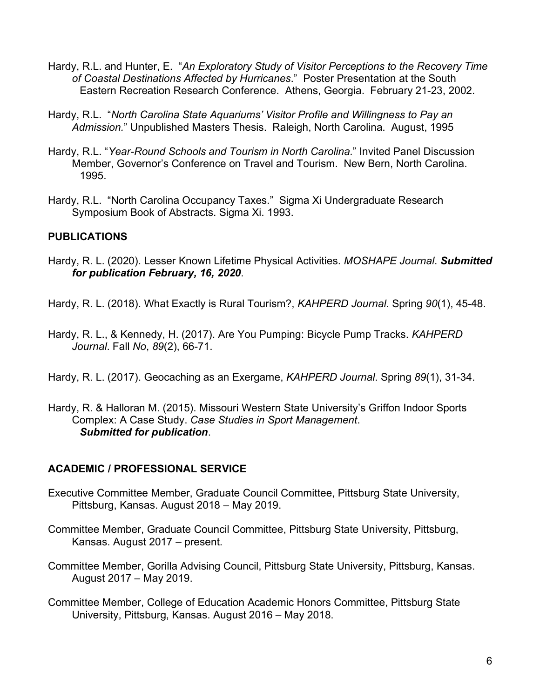- Hardy, R.L. and Hunter, E. "*An Exploratory Study of Visitor Perceptions to the Recovery Time of Coastal Destinations Affected by Hurricanes*." Poster Presentation at the South Eastern Recreation Research Conference. Athens, Georgia. February 21-23, 2002.
- Hardy, R.L. "*North Carolina State Aquariums' Visitor Profile and Willingness to Pay an Admission.*" Unpublished Masters Thesis. Raleigh, North Carolina. August, 1995
- Hardy, R.L. "*Year-Round Schools and Tourism in North Carolina.*" Invited Panel Discussion Member, Governor's Conference on Travel and Tourism. New Bern, North Carolina. 1995.
- Hardy, R.L. "North Carolina Occupancy Taxes." Sigma Xi Undergraduate Research Symposium Book of Abstracts. Sigma Xi. 1993.

## **PUBLICATIONS**

- Hardy, R. L. (2020). Lesser Known Lifetime Physical Activities. *MOSHAPE Journal*. *Submitted for publication February, 16, 2020*.
- Hardy, R. L. (2018). What Exactly is Rural Tourism?, *KAHPERD Journal*. Spring *90*(1), 45-48.
- Hardy, R. L., & Kennedy, H. (2017). Are You Pumping: Bicycle Pump Tracks. *KAHPERD Journal*. Fall *No*, *89*(2), 66-71.
- Hardy, R. L. (2017). Geocaching as an Exergame, *KAHPERD Journal*. Spring *89*(1), 31-34.
- Hardy, R. & Halloran M. (2015). Missouri Western State University's Griffon Indoor Sports Complex: A Case Study. *Case Studies in Sport Management*. *Submitted for publication*.

## **ACADEMIC / PROFESSIONAL SERVICE**

- Executive Committee Member, Graduate Council Committee, Pittsburg State University, Pittsburg, Kansas. August 2018 – May 2019.
- Committee Member, Graduate Council Committee, Pittsburg State University, Pittsburg, Kansas. August 2017 – present.
- Committee Member, Gorilla Advising Council, Pittsburg State University, Pittsburg, Kansas. August 2017 – May 2019.
- Committee Member, College of Education Academic Honors Committee, Pittsburg State University, Pittsburg, Kansas. August 2016 – May 2018.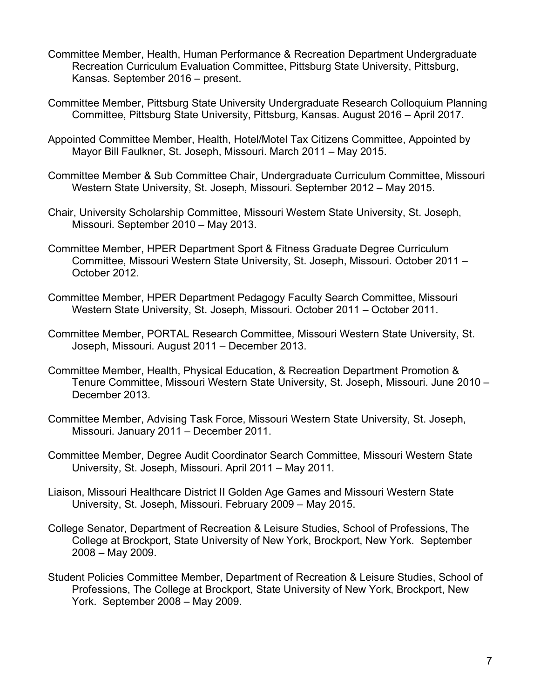- Committee Member, Health, Human Performance & Recreation Department Undergraduate Recreation Curriculum Evaluation Committee, Pittsburg State University, Pittsburg, Kansas. September 2016 – present.
- Committee Member, Pittsburg State University Undergraduate Research Colloquium Planning Committee, Pittsburg State University, Pittsburg, Kansas. August 2016 – April 2017.
- Appointed Committee Member, Health, Hotel/Motel Tax Citizens Committee, Appointed by Mayor Bill Faulkner, St. Joseph, Missouri. March 2011 – May 2015.
- Committee Member & Sub Committee Chair, Undergraduate Curriculum Committee, Missouri Western State University, St. Joseph, Missouri. September 2012 – May 2015.
- Chair, University Scholarship Committee, Missouri Western State University, St. Joseph, Missouri. September 2010 – May 2013.
- Committee Member, HPER Department Sport & Fitness Graduate Degree Curriculum Committee, Missouri Western State University, St. Joseph, Missouri. October 2011 – October 2012.
- Committee Member, HPER Department Pedagogy Faculty Search Committee, Missouri Western State University, St. Joseph, Missouri. October 2011 – October 2011.
- Committee Member, PORTAL Research Committee, Missouri Western State University, St. Joseph, Missouri. August 2011 – December 2013.
- Committee Member, Health, Physical Education, & Recreation Department Promotion & Tenure Committee, Missouri Western State University, St. Joseph, Missouri. June 2010 – December 2013.
- Committee Member, Advising Task Force, Missouri Western State University, St. Joseph, Missouri. January 2011 – December 2011.
- Committee Member, Degree Audit Coordinator Search Committee, Missouri Western State University, St. Joseph, Missouri. April 2011 – May 2011.
- Liaison, Missouri Healthcare District II Golden Age Games and Missouri Western State University, St. Joseph, Missouri. February 2009 – May 2015.
- College Senator, Department of Recreation & Leisure Studies, School of Professions, The College at Brockport, State University of New York, Brockport, New York. September 2008 – May 2009.
- Student Policies Committee Member, Department of Recreation & Leisure Studies, School of Professions, The College at Brockport, State University of New York, Brockport, New York. September 2008 – May 2009.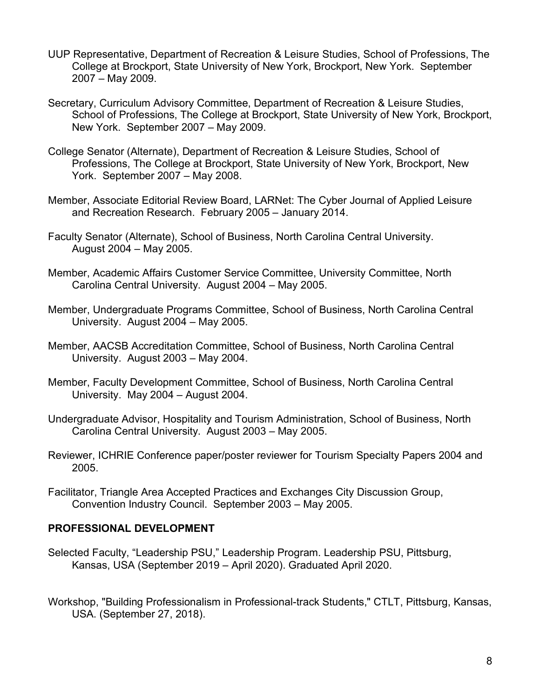- UUP Representative, Department of Recreation & Leisure Studies, School of Professions, The College at Brockport, State University of New York, Brockport, New York. September 2007 – May 2009.
- Secretary, Curriculum Advisory Committee, Department of Recreation & Leisure Studies, School of Professions, The College at Brockport, State University of New York, Brockport, New York. September 2007 – May 2009.
- College Senator (Alternate), Department of Recreation & Leisure Studies, School of Professions, The College at Brockport, State University of New York, Brockport, New York. September 2007 – May 2008.
- Member, Associate Editorial Review Board, LARNet: The Cyber Journal of Applied Leisure and Recreation Research. February 2005 – January 2014.
- Faculty Senator (Alternate), School of Business, North Carolina Central University. August 2004 – May 2005.
- Member, Academic Affairs Customer Service Committee, University Committee, North Carolina Central University. August 2004 – May 2005.
- Member, Undergraduate Programs Committee, School of Business, North Carolina Central University. August 2004 – May 2005.
- Member, AACSB Accreditation Committee, School of Business, North Carolina Central University. August 2003 – May 2004.
- Member, Faculty Development Committee, School of Business, North Carolina Central University. May 2004 – August 2004.
- Undergraduate Advisor, Hospitality and Tourism Administration, School of Business, North Carolina Central University. August 2003 – May 2005.
- Reviewer, ICHRIE Conference paper/poster reviewer for Tourism Specialty Papers 2004 and 2005.
- Facilitator, Triangle Area Accepted Practices and Exchanges City Discussion Group, Convention Industry Council. September 2003 – May 2005.

#### **PROFESSIONAL DEVELOPMENT**

- Selected Faculty, "Leadership PSU," Leadership Program. Leadership PSU, Pittsburg, Kansas, USA (September 2019 – April 2020). Graduated April 2020.
- Workshop, "Building Professionalism in Professional-track Students," CTLT, Pittsburg, Kansas, USA. (September 27, 2018).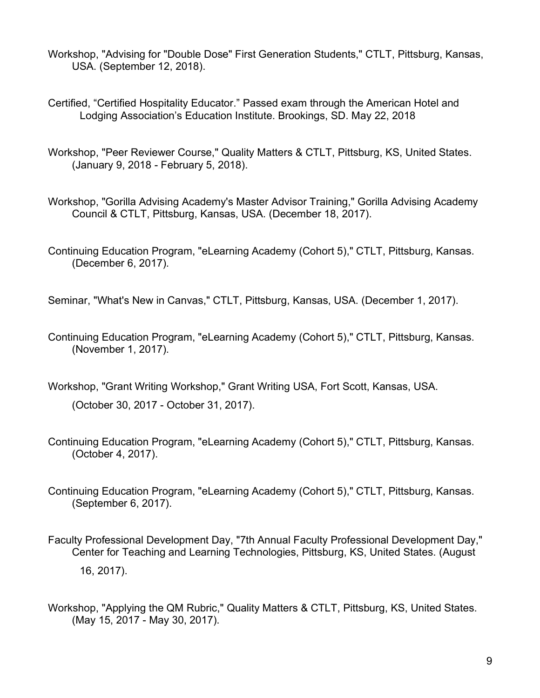- Workshop, "Advising for "Double Dose" First Generation Students," CTLT, Pittsburg, Kansas, USA. (September 12, 2018).
- Certified, "Certified Hospitality Educator." Passed exam through the American Hotel and Lodging Association's Education Institute. Brookings, SD. May 22, 2018
- Workshop, "Peer Reviewer Course," Quality Matters & CTLT, Pittsburg, KS, United States. (January 9, 2018 - February 5, 2018).
- Workshop, "Gorilla Advising Academy's Master Advisor Training," Gorilla Advising Academy Council & CTLT, Pittsburg, Kansas, USA. (December 18, 2017).
- Continuing Education Program, "eLearning Academy (Cohort 5)," CTLT, Pittsburg, Kansas. (December 6, 2017).
- Seminar, "What's New in Canvas," CTLT, Pittsburg, Kansas, USA. (December 1, 2017).
- Continuing Education Program, "eLearning Academy (Cohort 5)," CTLT, Pittsburg, Kansas. (November 1, 2017).
- Workshop, "Grant Writing Workshop," Grant Writing USA, Fort Scott, Kansas, USA.
	- (October 30, 2017 October 31, 2017).
- Continuing Education Program, "eLearning Academy (Cohort 5)," CTLT, Pittsburg, Kansas. (October 4, 2017).
- Continuing Education Program, "eLearning Academy (Cohort 5)," CTLT, Pittsburg, Kansas. (September 6, 2017).
- Faculty Professional Development Day, "7th Annual Faculty Professional Development Day," Center for Teaching and Learning Technologies, Pittsburg, KS, United States. (August 16, 2017).
- Workshop, "Applying the QM Rubric," Quality Matters & CTLT, Pittsburg, KS, United States. (May 15, 2017 - May 30, 2017).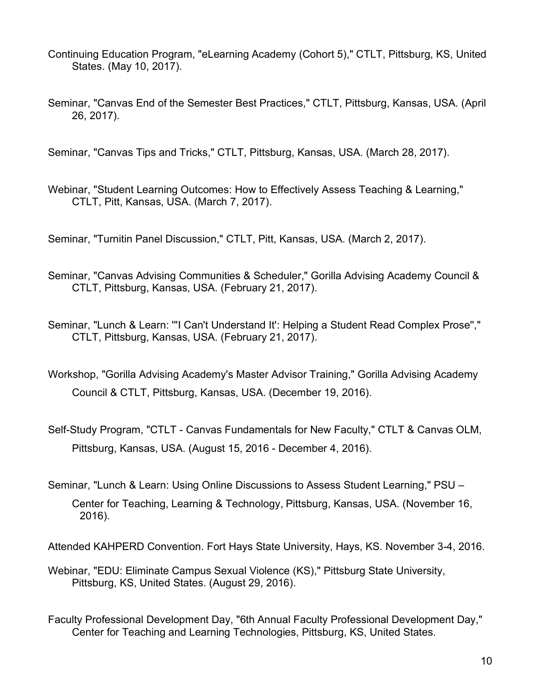- Continuing Education Program, "eLearning Academy (Cohort 5)," CTLT, Pittsburg, KS, United States. (May 10, 2017).
- Seminar, "Canvas End of the Semester Best Practices," CTLT, Pittsburg, Kansas, USA. (April 26, 2017).

Seminar, "Canvas Tips and Tricks," CTLT, Pittsburg, Kansas, USA. (March 28, 2017).

Webinar, "Student Learning Outcomes: How to Effectively Assess Teaching & Learning," CTLT, Pitt, Kansas, USA. (March 7, 2017).

Seminar, "Turnitin Panel Discussion," CTLT, Pitt, Kansas, USA. (March 2, 2017).

- Seminar, "Canvas Advising Communities & Scheduler," Gorilla Advising Academy Council & CTLT, Pittsburg, Kansas, USA. (February 21, 2017).
- Seminar, "Lunch & Learn: '''I Can't Understand It': Helping a Student Read Complex Prose''," CTLT, Pittsburg, Kansas, USA. (February 21, 2017).
- Workshop, "Gorilla Advising Academy's Master Advisor Training," Gorilla Advising Academy Council & CTLT, Pittsburg, Kansas, USA. (December 19, 2016).
- Self-Study Program, "CTLT Canvas Fundamentals for New Faculty," CTLT & Canvas OLM, Pittsburg, Kansas, USA. (August 15, 2016 - December 4, 2016).
- Seminar, "Lunch & Learn: Using Online Discussions to Assess Student Learning," PSU Center for Teaching, Learning & Technology, Pittsburg, Kansas, USA. (November 16, 2016).

Attended KAHPERD Convention. Fort Hays State University, Hays, KS. November 3-4, 2016.

- Webinar, "EDU: Eliminate Campus Sexual Violence (KS)," Pittsburg State University, Pittsburg, KS, United States. (August 29, 2016).
- Faculty Professional Development Day, "6th Annual Faculty Professional Development Day," Center for Teaching and Learning Technologies, Pittsburg, KS, United States.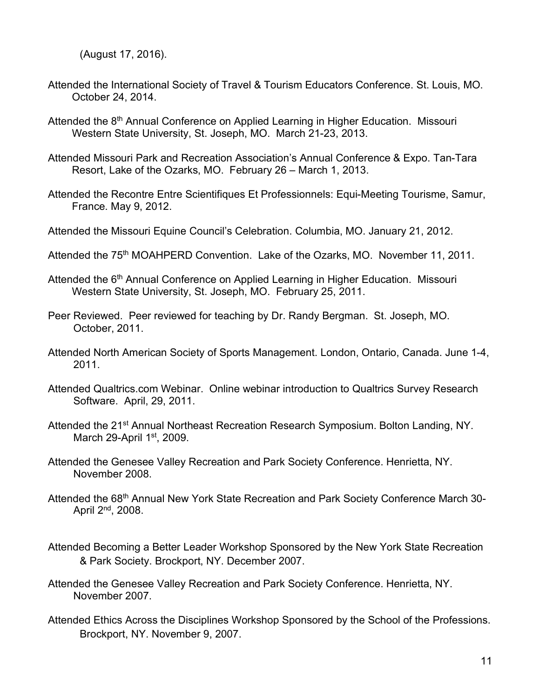(August 17, 2016).

- Attended the International Society of Travel & Tourism Educators Conference. St. Louis, MO. October 24, 2014.
- Attended the 8<sup>th</sup> Annual Conference on Applied Learning in Higher Education. Missouri Western State University, St. Joseph, MO. March 21-23, 2013.
- Attended Missouri Park and Recreation Association's Annual Conference & Expo. Tan-Tara Resort, Lake of the Ozarks, MO. February 26 – March 1, 2013.
- Attended the Recontre Entre Scientifiques Et Professionnels: Equi-Meeting Tourisme, Samur, France. May 9, 2012.
- Attended the Missouri Equine Council's Celebration. Columbia, MO. January 21, 2012.
- Attended the 75<sup>th</sup> MOAHPERD Convention. Lake of the Ozarks, MO. November 11, 2011.
- Attended the 6<sup>th</sup> Annual Conference on Applied Learning in Higher Education. Missouri Western State University, St. Joseph, MO. February 25, 2011.
- Peer Reviewed. Peer reviewed for teaching by Dr. Randy Bergman. St. Joseph, MO. October, 2011.
- Attended North American Society of Sports Management. London, Ontario, Canada. June 1-4, 2011.
- Attended Qualtrics.com Webinar. Online webinar introduction to Qualtrics Survey Research Software. April, 29, 2011.
- Attended the 21<sup>st</sup> Annual Northeast Recreation Research Symposium. Bolton Landing, NY. March 29-April  $1<sup>st</sup>$ , 2009.
- Attended the Genesee Valley Recreation and Park Society Conference. Henrietta, NY. November 2008.
- Attended the 68<sup>th</sup> Annual New York State Recreation and Park Society Conference March 30-April 2nd, 2008.
- Attended Becoming a Better Leader Workshop Sponsored by the New York State Recreation & Park Society. Brockport, NY. December 2007.
- Attended the Genesee Valley Recreation and Park Society Conference. Henrietta, NY. November 2007.
- Attended Ethics Across the Disciplines Workshop Sponsored by the School of the Professions. Brockport, NY. November 9, 2007.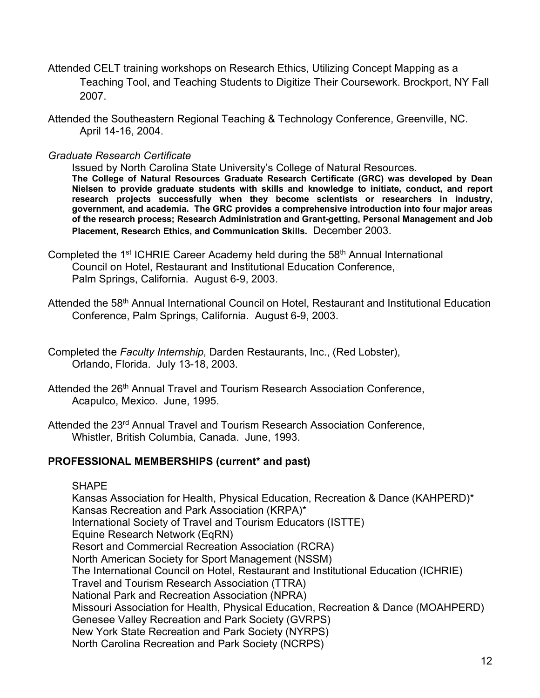- Attended CELT training workshops on Research Ethics, Utilizing Concept Mapping as a Teaching Tool, and Teaching Students to Digitize Their Coursework. Brockport, NY Fall 2007.
- Attended the Southeastern Regional Teaching & Technology Conference, Greenville, NC. April 14-16, 2004.

*Graduate Research Certificate*

Issued by North Carolina State University's College of Natural Resources. **The College of Natural Resources Graduate Research Certificate (GRC) was developed by Dean Nielsen to provide graduate students with skills and knowledge to initiate, conduct, and report research projects successfully when they become scientists or researchers in industry, government, and academia. The GRC provides a comprehensive introduction into four major areas of the research process; Research Administration and Grant-getting, Personal Management and Job Placement, Research Ethics, and Communication Skills.** December 2003.

- Completed the 1<sup>st</sup> ICHRIE Career Academy held during the  $58<sup>th</sup>$  Annual International Council on Hotel, Restaurant and Institutional Education Conference, Palm Springs, California. August 6-9, 2003.
- Attended the 58<sup>th</sup> Annual International Council on Hotel, Restaurant and Institutional Education Conference, Palm Springs, California. August 6-9, 2003.
- Completed the *Faculty Internship*, Darden Restaurants, Inc., (Red Lobster), Orlando, Florida. July 13-18, 2003.
- Attended the 26<sup>th</sup> Annual Travel and Tourism Research Association Conference, Acapulco, Mexico. June, 1995.
- Attended the 23<sup>rd</sup> Annual Travel and Tourism Research Association Conference, Whistler, British Columbia, Canada. June, 1993.

#### **PROFESSIONAL MEMBERSHIPS (current\* and past)**

#### **SHAPE**

Kansas Association for Health, Physical Education, Recreation & Dance (KAHPERD)\* Kansas Recreation and Park Association (KRPA)\* International Society of Travel and Tourism Educators (ISTTE) Equine Research Network (EqRN) Resort and Commercial Recreation Association (RCRA) North American Society for Sport Management (NSSM) The International Council on Hotel, Restaurant and Institutional Education (ICHRIE) Travel and Tourism Research Association (TTRA) National Park and Recreation Association (NPRA) Missouri Association for Health, Physical Education, Recreation & Dance (MOAHPERD) Genesee Valley Recreation and Park Society (GVRPS) New York State Recreation and Park Society (NYRPS) North Carolina Recreation and Park Society (NCRPS)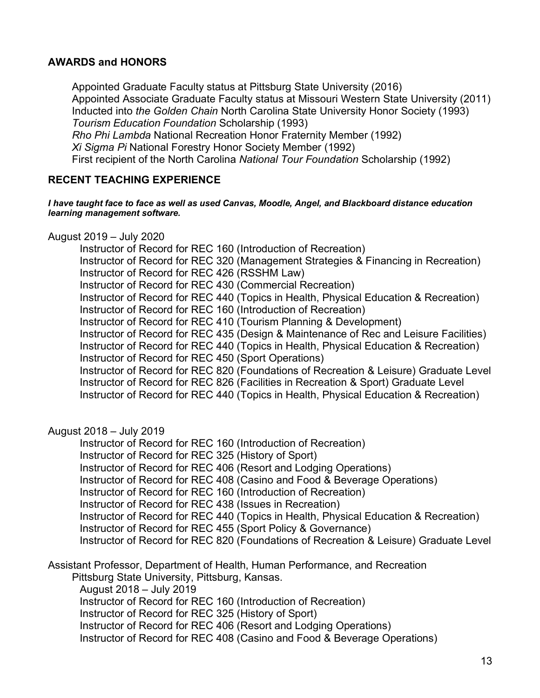#### **AWARDS and HONORS**

Appointed Graduate Faculty status at Pittsburg State University (2016) Appointed Associate Graduate Faculty status at Missouri Western State University (2011) Inducted into *the Golden Chain* North Carolina State University Honor Society (1993) *Tourism Education Foundation* Scholarship (1993) *Rho Phi Lambda* National Recreation Honor Fraternity Member (1992) *Xi Sigma Pi* National Forestry Honor Society Member (1992) First recipient of the North Carolina *National Tour Foundation* Scholarship (1992)

#### **RECENT TEACHING EXPERIENCE**

#### *I have taught face to face as well as used Canvas, Moodle, Angel, and Blackboard distance education learning management software.*

August 2019 – July 2020

Instructor of Record for REC 160 (Introduction of Recreation) Instructor of Record for REC 320 (Management Strategies & Financing in Recreation) Instructor of Record for REC 426 (RSSHM Law) Instructor of Record for REC 430 (Commercial Recreation) Instructor of Record for REC 440 (Topics in Health, Physical Education & Recreation) Instructor of Record for REC 160 (Introduction of Recreation) Instructor of Record for REC 410 (Tourism Planning & Development) Instructor of Record for REC 435 (Design & Maintenance of Rec and Leisure Facilities) Instructor of Record for REC 440 (Topics in Health, Physical Education & Recreation) Instructor of Record for REC 450 (Sport Operations) Instructor of Record for REC 820 (Foundations of Recreation & Leisure) Graduate Level Instructor of Record for REC 826 (Facilities in Recreation & Sport) Graduate Level Instructor of Record for REC 440 (Topics in Health, Physical Education & Recreation)

#### August 2018 – July 2019

Instructor of Record for REC 160 (Introduction of Recreation) Instructor of Record for REC 325 (History of Sport) Instructor of Record for REC 406 (Resort and Lodging Operations) Instructor of Record for REC 408 (Casino and Food & Beverage Operations) Instructor of Record for REC 160 (Introduction of Recreation) Instructor of Record for REC 438 (Issues in Recreation) Instructor of Record for REC 440 (Topics in Health, Physical Education & Recreation) Instructor of Record for REC 455 (Sport Policy & Governance) Instructor of Record for REC 820 (Foundations of Recreation & Leisure) Graduate Level

Assistant Professor, Department of Health, Human Performance, and Recreation

Pittsburg State University, Pittsburg, Kansas.

August 2018 – July 2019

Instructor of Record for REC 160 (Introduction of Recreation)

Instructor of Record for REC 325 (History of Sport)

Instructor of Record for REC 406 (Resort and Lodging Operations)

Instructor of Record for REC 408 (Casino and Food & Beverage Operations)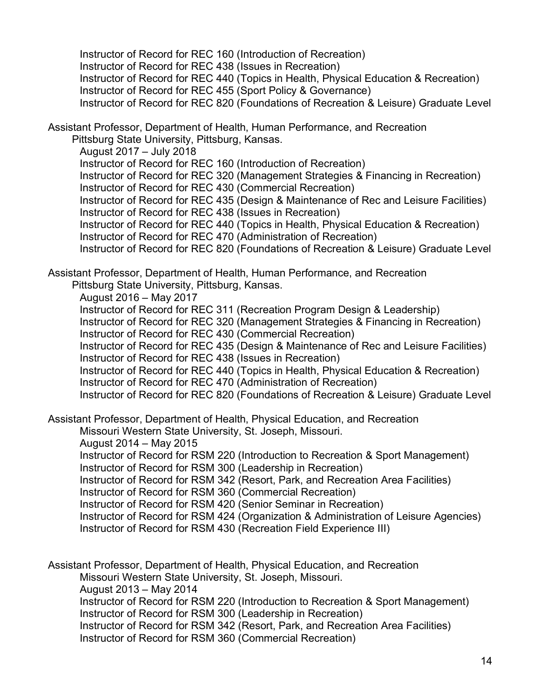Instructor of Record for REC 160 (Introduction of Recreation) Instructor of Record for REC 438 (Issues in Recreation) Instructor of Record for REC 440 (Topics in Health, Physical Education & Recreation) Instructor of Record for REC 455 (Sport Policy & Governance) Instructor of Record for REC 820 (Foundations of Recreation & Leisure) Graduate Level

Assistant Professor, Department of Health, Human Performance, and Recreation

Pittsburg State University, Pittsburg, Kansas. August 2017 – July 2018 Instructor of Record for REC 160 (Introduction of Recreation) Instructor of Record for REC 320 (Management Strategies & Financing in Recreation) Instructor of Record for REC 430 (Commercial Recreation) Instructor of Record for REC 435 (Design & Maintenance of Rec and Leisure Facilities) Instructor of Record for REC 438 (Issues in Recreation) Instructor of Record for REC 440 (Topics in Health, Physical Education & Recreation) Instructor of Record for REC 470 (Administration of Recreation)

Instructor of Record for REC 820 (Foundations of Recreation & Leisure) Graduate Level

Assistant Professor, Department of Health, Human Performance, and Recreation Pittsburg State University, Pittsburg, Kansas.

August 2016 – May 2017

Instructor of Record for REC 311 (Recreation Program Design & Leadership) Instructor of Record for REC 320 (Management Strategies & Financing in Recreation) Instructor of Record for REC 430 (Commercial Recreation) Instructor of Record for REC 435 (Design & Maintenance of Rec and Leisure Facilities) Instructor of Record for REC 438 (Issues in Recreation) Instructor of Record for REC 440 (Topics in Health, Physical Education & Recreation) Instructor of Record for REC 470 (Administration of Recreation) Instructor of Record for REC 820 (Foundations of Recreation & Leisure) Graduate Level

Assistant Professor, Department of Health, Physical Education, and Recreation Missouri Western State University, St. Joseph, Missouri. August 2014 – May 2015 Instructor of Record for RSM 220 (Introduction to Recreation & Sport Management) Instructor of Record for RSM 300 (Leadership in Recreation) Instructor of Record for RSM 342 (Resort, Park, and Recreation Area Facilities) Instructor of Record for RSM 360 (Commercial Recreation) Instructor of Record for RSM 420 (Senior Seminar in Recreation) Instructor of Record for RSM 424 (Organization & Administration of Leisure Agencies) Instructor of Record for RSM 430 (Recreation Field Experience III)

Assistant Professor, Department of Health, Physical Education, and Recreation Missouri Western State University, St. Joseph, Missouri. August 2013 – May 2014 Instructor of Record for RSM 220 (Introduction to Recreation & Sport Management) Instructor of Record for RSM 300 (Leadership in Recreation) Instructor of Record for RSM 342 (Resort, Park, and Recreation Area Facilities) Instructor of Record for RSM 360 (Commercial Recreation)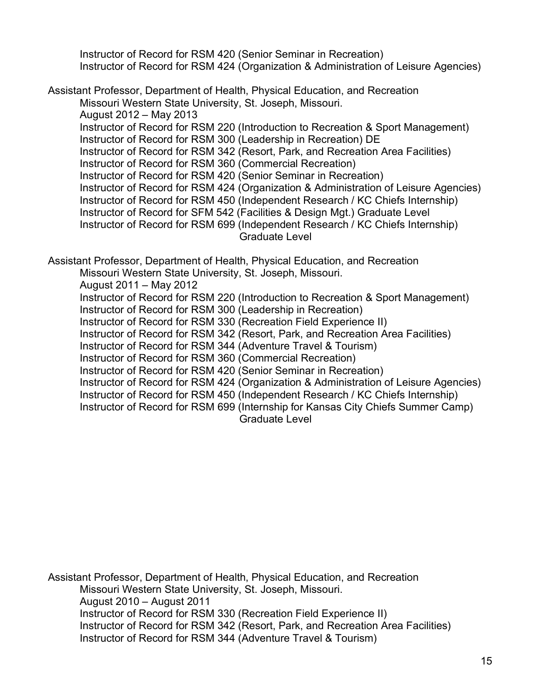Instructor of Record for RSM 420 (Senior Seminar in Recreation) Instructor of Record for RSM 424 (Organization & Administration of Leisure Agencies)

Assistant Professor, Department of Health, Physical Education, and Recreation Missouri Western State University, St. Joseph, Missouri. August 2012 – May 2013 Instructor of Record for RSM 220 (Introduction to Recreation & Sport Management) Instructor of Record for RSM 300 (Leadership in Recreation) DE Instructor of Record for RSM 342 (Resort, Park, and Recreation Area Facilities) Instructor of Record for RSM 360 (Commercial Recreation) Instructor of Record for RSM 420 (Senior Seminar in Recreation) Instructor of Record for RSM 424 (Organization & Administration of Leisure Agencies) Instructor of Record for RSM 450 (Independent Research / KC Chiefs Internship) Instructor of Record for SFM 542 (Facilities & Design Mgt.) Graduate Level Instructor of Record for RSM 699 (Independent Research / KC Chiefs Internship) Graduate Level

Assistant Professor, Department of Health, Physical Education, and Recreation Missouri Western State University, St. Joseph, Missouri. August 2011 – May 2012 Instructor of Record for RSM 220 (Introduction to Recreation & Sport Management) Instructor of Record for RSM 300 (Leadership in Recreation) Instructor of Record for RSM 330 (Recreation Field Experience II) Instructor of Record for RSM 342 (Resort, Park, and Recreation Area Facilities) Instructor of Record for RSM 344 (Adventure Travel & Tourism) Instructor of Record for RSM 360 (Commercial Recreation) Instructor of Record for RSM 420 (Senior Seminar in Recreation) Instructor of Record for RSM 424 (Organization & Administration of Leisure Agencies) Instructor of Record for RSM 450 (Independent Research / KC Chiefs Internship) Instructor of Record for RSM 699 (Internship for Kansas City Chiefs Summer Camp) Graduate Level

Assistant Professor, Department of Health, Physical Education, and Recreation Missouri Western State University, St. Joseph, Missouri. August 2010 – August 2011 Instructor of Record for RSM 330 (Recreation Field Experience II) Instructor of Record for RSM 342 (Resort, Park, and Recreation Area Facilities) Instructor of Record for RSM 344 (Adventure Travel & Tourism)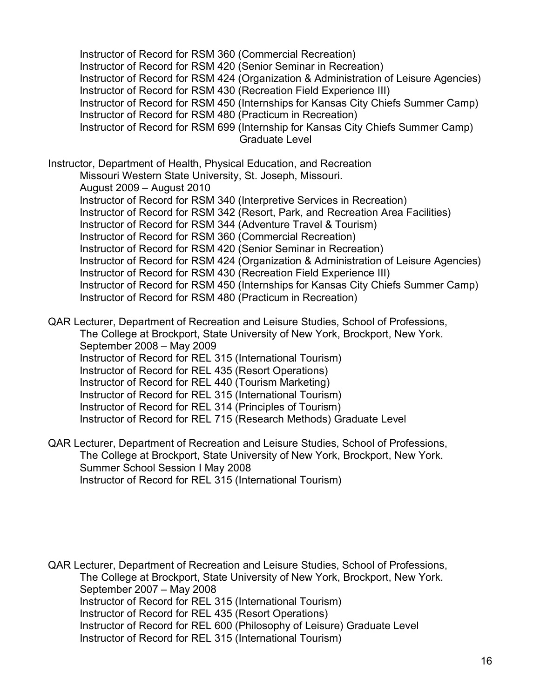Instructor of Record for RSM 360 (Commercial Recreation) Instructor of Record for RSM 420 (Senior Seminar in Recreation) Instructor of Record for RSM 424 (Organization & Administration of Leisure Agencies) Instructor of Record for RSM 430 (Recreation Field Experience III) Instructor of Record for RSM 450 (Internships for Kansas City Chiefs Summer Camp) Instructor of Record for RSM 480 (Practicum in Recreation) Instructor of Record for RSM 699 (Internship for Kansas City Chiefs Summer Camp) Graduate Level

Instructor, Department of Health, Physical Education, and Recreation Missouri Western State University, St. Joseph, Missouri. August 2009 – August 2010 Instructor of Record for RSM 340 (Interpretive Services in Recreation) Instructor of Record for RSM 342 (Resort, Park, and Recreation Area Facilities) Instructor of Record for RSM 344 (Adventure Travel & Tourism) Instructor of Record for RSM 360 (Commercial Recreation) Instructor of Record for RSM 420 (Senior Seminar in Recreation) Instructor of Record for RSM 424 (Organization & Administration of Leisure Agencies) Instructor of Record for RSM 430 (Recreation Field Experience III) Instructor of Record for RSM 450 (Internships for Kansas City Chiefs Summer Camp) Instructor of Record for RSM 480 (Practicum in Recreation)

QAR Lecturer, Department of Recreation and Leisure Studies, School of Professions, The College at Brockport, State University of New York, Brockport, New York. September 2008 – May 2009 Instructor of Record for REL 315 (International Tourism) Instructor of Record for REL 435 (Resort Operations) Instructor of Record for REL 440 (Tourism Marketing) Instructor of Record for REL 315 (International Tourism) Instructor of Record for REL 314 (Principles of Tourism) Instructor of Record for REL 715 (Research Methods) Graduate Level

QAR Lecturer, Department of Recreation and Leisure Studies, School of Professions, The College at Brockport, State University of New York, Brockport, New York. Summer School Session I May 2008 Instructor of Record for REL 315 (International Tourism)

QAR Lecturer, Department of Recreation and Leisure Studies, School of Professions, The College at Brockport, State University of New York, Brockport, New York. September 2007 – May 2008 Instructor of Record for REL 315 (International Tourism) Instructor of Record for REL 435 (Resort Operations) Instructor of Record for REL 600 (Philosophy of Leisure) Graduate Level Instructor of Record for REL 315 (International Tourism)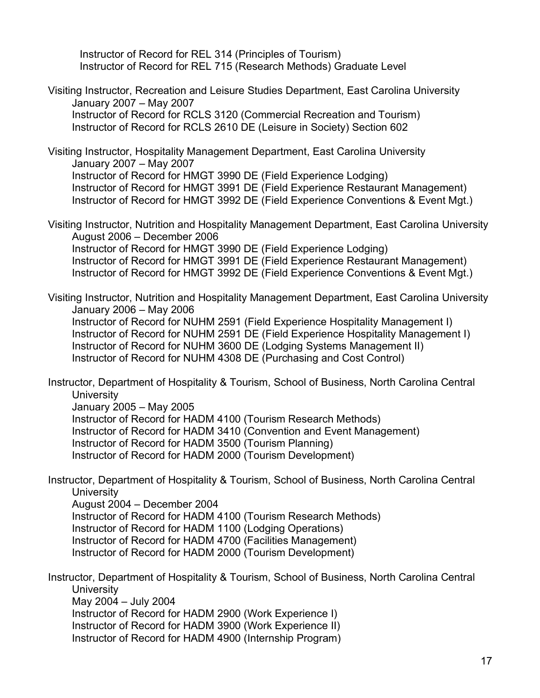Instructor of Record for REL 314 (Principles of Tourism) Instructor of Record for REL 715 (Research Methods) Graduate Level

Visiting Instructor, Recreation and Leisure Studies Department, East Carolina University January 2007 – May 2007 Instructor of Record for RCLS 3120 (Commercial Recreation and Tourism) Instructor of Record for RCLS 2610 DE (Leisure in Society) Section 602

Visiting Instructor, Hospitality Management Department, East Carolina University January 2007 – May 2007 Instructor of Record for HMGT 3990 DE (Field Experience Lodging) Instructor of Record for HMGT 3991 DE (Field Experience Restaurant Management) Instructor of Record for HMGT 3992 DE (Field Experience Conventions & Event Mgt.)

Visiting Instructor, Nutrition and Hospitality Management Department, East Carolina University August 2006 – December 2006 Instructor of Record for HMGT 3990 DE (Field Experience Lodging) Instructor of Record for HMGT 3991 DE (Field Experience Restaurant Management) Instructor of Record for HMGT 3992 DE (Field Experience Conventions & Event Mgt.)

Visiting Instructor, Nutrition and Hospitality Management Department, East Carolina University January 2006 – May 2006 Instructor of Record for NUHM 2591 (Field Experience Hospitality Management I) Instructor of Record for NUHM 2591 DE (Field Experience Hospitality Management I) Instructor of Record for NUHM 3600 DE (Lodging Systems Management II) Instructor of Record for NUHM 4308 DE (Purchasing and Cost Control)

Instructor, Department of Hospitality & Tourism, School of Business, North Carolina Central **University** January 2005 – May 2005

Instructor of Record for HADM 4100 (Tourism Research Methods) Instructor of Record for HADM 3410 (Convention and Event Management) Instructor of Record for HADM 3500 (Tourism Planning) Instructor of Record for HADM 2000 (Tourism Development)

Instructor, Department of Hospitality & Tourism, School of Business, North Carolina Central **University** 

August 2004 – December 2004 Instructor of Record for HADM 4100 (Tourism Research Methods) Instructor of Record for HADM 1100 (Lodging Operations) Instructor of Record for HADM 4700 (Facilities Management) Instructor of Record for HADM 2000 (Tourism Development)

Instructor, Department of Hospitality & Tourism, School of Business, North Carolina Central **University** May 2004 – July 2004 Instructor of Record for HADM 2900 (Work Experience I) Instructor of Record for HADM 3900 (Work Experience II)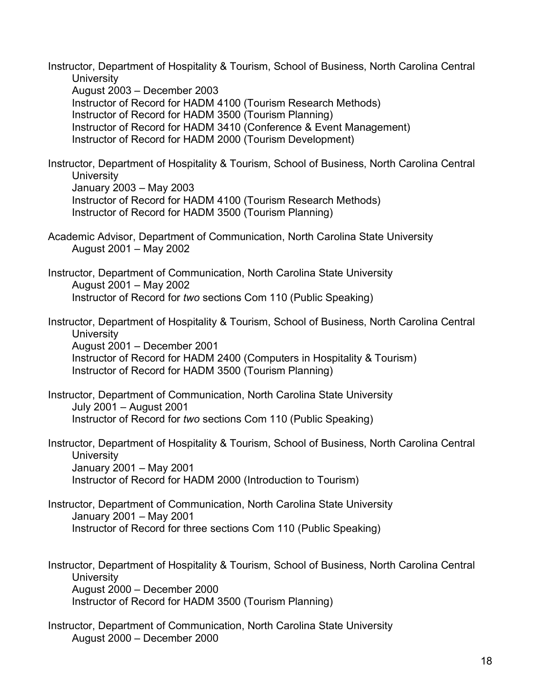Instructor, Department of Hospitality & Tourism, School of Business, North Carolina Central **University** August 2003 – December 2003 Instructor of Record for HADM 4100 (Tourism Research Methods) Instructor of Record for HADM 3500 (Tourism Planning) Instructor of Record for HADM 3410 (Conference & Event Management) Instructor of Record for HADM 2000 (Tourism Development) Instructor, Department of Hospitality & Tourism, School of Business, North Carolina Central **University** January 2003 – May 2003 Instructor of Record for HADM 4100 (Tourism Research Methods) Instructor of Record for HADM 3500 (Tourism Planning) Academic Advisor, Department of Communication, North Carolina State University August 2001 – May 2002 Instructor, Department of Communication, North Carolina State University August 2001 – May 2002 Instructor of Record for *two* sections Com 110 (Public Speaking) Instructor, Department of Hospitality & Tourism, School of Business, North Carolina Central **University** August 2001 – December 2001 Instructor of Record for HADM 2400 (Computers in Hospitality & Tourism) Instructor of Record for HADM 3500 (Tourism Planning) Instructor, Department of Communication, North Carolina State University July 2001 – August 2001 Instructor of Record for *two* sections Com 110 (Public Speaking) Instructor, Department of Hospitality & Tourism, School of Business, North Carolina Central **University** January 2001 – May 2001 Instructor of Record for HADM 2000 (Introduction to Tourism) Instructor, Department of Communication, North Carolina State University January 2001 – May 2001 Instructor of Record for three sections Com 110 (Public Speaking) Instructor, Department of Hospitality & Tourism, School of Business, North Carolina Central **University** August 2000 – December 2000 Instructor of Record for HADM 3500 (Tourism Planning) Instructor, Department of Communication, North Carolina State University August 2000 – December 2000